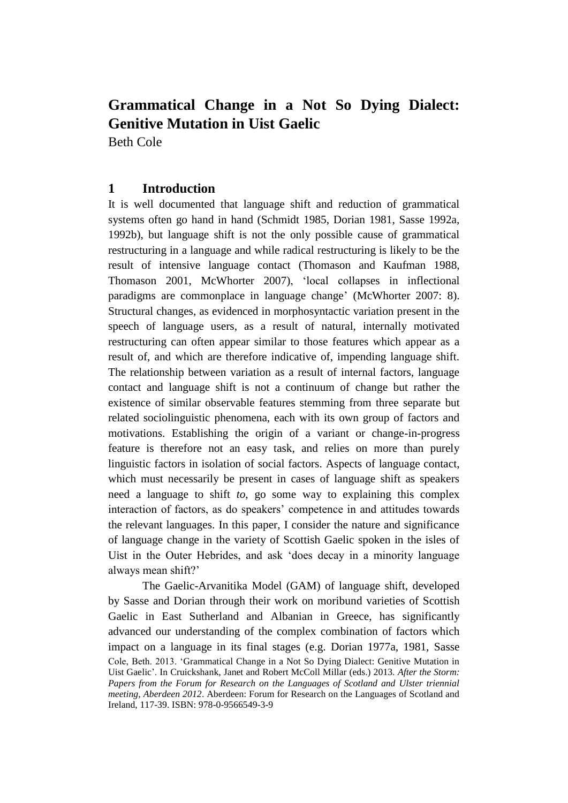Beth Cole

# **1 Introduction**

It is well documented that language shift and reduction of grammatical systems often go hand in hand (Schmidt 1985, Dorian 1981, Sasse 1992a, 1992b), but language shift is not the only possible cause of grammatical restructuring in a language and while radical restructuring is likely to be the result of intensive language contact (Thomason and Kaufman 1988, Thomason 2001, McWhorter 2007), 'local collapses in inflectional paradigms are commonplace in language change' (McWhorter 2007: 8). Structural changes, as evidenced in morphosyntactic variation present in the speech of language users, as a result of natural, internally motivated restructuring can often appear similar to those features which appear as a result of, and which are therefore indicative of, impending language shift. The relationship between variation as a result of internal factors, language contact and language shift is not a continuum of change but rather the existence of similar observable features stemming from three separate but related sociolinguistic phenomena, each with its own group of factors and motivations. Establishing the origin of a variant or change-in-progress feature is therefore not an easy task, and relies on more than purely linguistic factors in isolation of social factors. Aspects of language contact, which must necessarily be present in cases of language shift as speakers need a language to shift *to*, go some way to explaining this complex interaction of factors, as do speakers' competence in and attitudes towards the relevant languages. In this paper, I consider the nature and significance of language change in the variety of Scottish Gaelic spoken in the isles of Uist in the Outer Hebrides, and ask 'does decay in a minority language always mean shift?'

Cole, Beth. 2013. 'Grammatical Change in a Not So Dying Dialect: Genitive Mutation in Uist Gaelic'. In Cruickshank, Janet and Robert McColl Millar (eds.) 2013. *After the Storm: Papers from the Forum for Research on the Languages of Scotland and Ulster triennial meeting, Aberdeen 2012*. Aberdeen: Forum for Research on the Languages of Scotland and Ireland, 117-39. ISBN: 978-0-9566549-3-9 The Gaelic-Arvanitika Model (GAM) of language shift, developed by Sasse and Dorian through their work on moribund varieties of Scottish Gaelic in East Sutherland and Albanian in Greece, has significantly advanced our understanding of the complex combination of factors which impact on a language in its final stages (e.g. Dorian 1977a, 1981, Sasse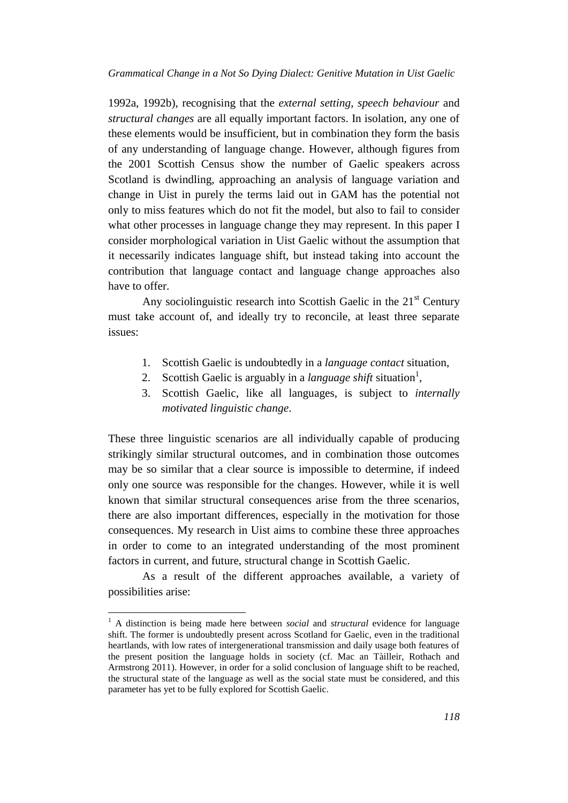1992a, 1992b), recognising that the *external setting*, *speech behaviour* and *structural changes* are all equally important factors. In isolation, any one of these elements would be insufficient, but in combination they form the basis of any understanding of language change. However, although figures from the 2001 Scottish Census show the number of Gaelic speakers across Scotland is dwindling, approaching an analysis of language variation and change in Uist in purely the terms laid out in GAM has the potential not only to miss features which do not fit the model, but also to fail to consider what other processes in language change they may represent. In this paper I consider morphological variation in Uist Gaelic without the assumption that it necessarily indicates language shift, but instead taking into account the contribution that language contact and language change approaches also have to offer.

Any sociolinguistic research into Scottish Gaelic in the  $21<sup>st</sup>$  Century must take account of, and ideally try to reconcile, at least three separate issues:

- 1. Scottish Gaelic is undoubtedly in a *language contact* situation,
- 2. Scottish Gaelic is arguably in a *language shift* situation<sup>1</sup>,
- 3. Scottish Gaelic, like all languages, is subject to *internally motivated linguistic change*.

These three linguistic scenarios are all individually capable of producing strikingly similar structural outcomes, and in combination those outcomes may be so similar that a clear source is impossible to determine, if indeed only one source was responsible for the changes. However, while it is well known that similar structural consequences arise from the three scenarios, there are also important differences, especially in the motivation for those consequences. My research in Uist aims to combine these three approaches in order to come to an integrated understanding of the most prominent factors in current, and future, structural change in Scottish Gaelic.

As a result of the different approaches available, a variety of possibilities arise:

 $\overline{\phantom{a}}$ 

<sup>1</sup> A distinction is being made here between *social* and *structural* evidence for language shift. The former is undoubtedly present across Scotland for Gaelic, even in the traditional heartlands, with low rates of intergenerational transmission and daily usage both features of the present position the language holds in society (cf. Mac an Tàilleir, Rothach and Armstrong 2011). However, in order for a solid conclusion of language shift to be reached, the structural state of the language as well as the social state must be considered, and this parameter has yet to be fully explored for Scottish Gaelic.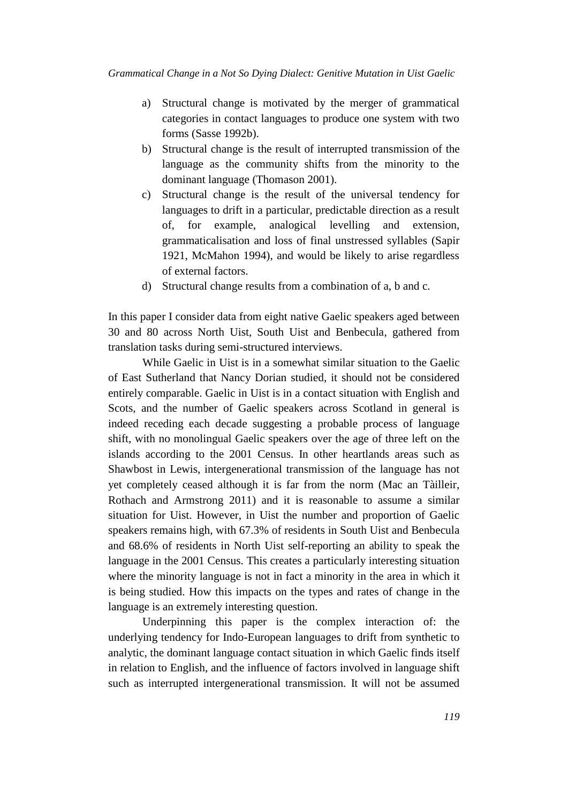- a) Structural change is motivated by the merger of grammatical categories in contact languages to produce one system with two forms (Sasse 1992b).
- b) Structural change is the result of interrupted transmission of the language as the community shifts from the minority to the dominant language (Thomason 2001).
- c) Structural change is the result of the universal tendency for languages to drift in a particular, predictable direction as a result of, for example, analogical levelling and extension, grammaticalisation and loss of final unstressed syllables (Sapir 1921, McMahon 1994), and would be likely to arise regardless of external factors.
- d) Structural change results from a combination of a, b and c.

In this paper I consider data from eight native Gaelic speakers aged between 30 and 80 across North Uist, South Uist and Benbecula, gathered from translation tasks during semi-structured interviews.

While Gaelic in Uist is in a somewhat similar situation to the Gaelic of East Sutherland that Nancy Dorian studied, it should not be considered entirely comparable. Gaelic in Uist is in a contact situation with English and Scots, and the number of Gaelic speakers across Scotland in general is indeed receding each decade suggesting a probable process of language shift, with no monolingual Gaelic speakers over the age of three left on the islands according to the 2001 Census. In other heartlands areas such as Shawbost in Lewis, intergenerational transmission of the language has not yet completely ceased although it is far from the norm (Mac an Tàilleir, Rothach and Armstrong 2011) and it is reasonable to assume a similar situation for Uist. However, in Uist the number and proportion of Gaelic speakers remains high, with 67.3% of residents in South Uist and Benbecula and 68.6% of residents in North Uist self-reporting an ability to speak the language in the 2001 Census. This creates a particularly interesting situation where the minority language is not in fact a minority in the area in which it is being studied. How this impacts on the types and rates of change in the language is an extremely interesting question.

Underpinning this paper is the complex interaction of: the underlying tendency for Indo-European languages to drift from synthetic to analytic, the dominant language contact situation in which Gaelic finds itself in relation to English, and the influence of factors involved in language shift such as interrupted intergenerational transmission. It will not be assumed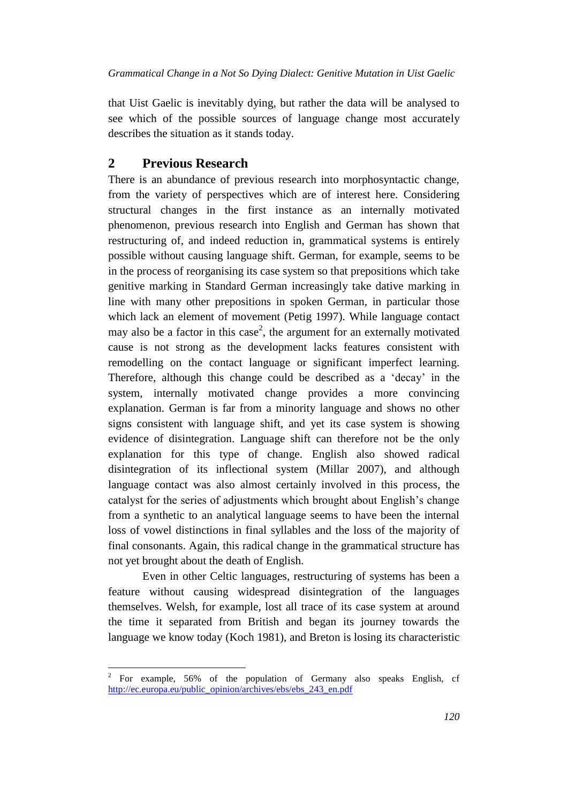that Uist Gaelic is inevitably dying, but rather the data will be analysed to see which of the possible sources of language change most accurately describes the situation as it stands today.

# **2 Previous Research**

There is an abundance of previous research into morphosyntactic change, from the variety of perspectives which are of interest here. Considering structural changes in the first instance as an internally motivated phenomenon, previous research into English and German has shown that restructuring of, and indeed reduction in, grammatical systems is entirely possible without causing language shift. German, for example, seems to be in the process of reorganising its case system so that prepositions which take genitive marking in Standard German increasingly take dative marking in line with many other prepositions in spoken German, in particular those which lack an element of movement (Petig 1997). While language contact may also be a factor in this case<sup>2</sup>, the argument for an externally motivated cause is not strong as the development lacks features consistent with remodelling on the contact language or significant imperfect learning. Therefore, although this change could be described as a 'decay' in the system, internally motivated change provides a more convincing explanation. German is far from a minority language and shows no other signs consistent with language shift, and yet its case system is showing evidence of disintegration. Language shift can therefore not be the only explanation for this type of change. English also showed radical disintegration of its inflectional system (Millar 2007), and although language contact was also almost certainly involved in this process, the catalyst for the series of adjustments which brought about English's change from a synthetic to an analytical language seems to have been the internal loss of vowel distinctions in final syllables and the loss of the majority of final consonants. Again, this radical change in the grammatical structure has not yet brought about the death of English.

Even in other Celtic languages, restructuring of systems has been a feature without causing widespread disintegration of the languages themselves. Welsh, for example, lost all trace of its case system at around the time it separated from British and began its journey towards the language we know today (Koch 1981), and Breton is losing its characteristic

 $\frac{1}{2}$ For example, 56% of the population of Germany also speaks English, cf [http://ec.europa.eu/public\\_opinion/archives/ebs/ebs\\_243\\_en.pdf](http://ec.europa.eu/public_opinion/archives/ebs/ebs_243_en.pdf)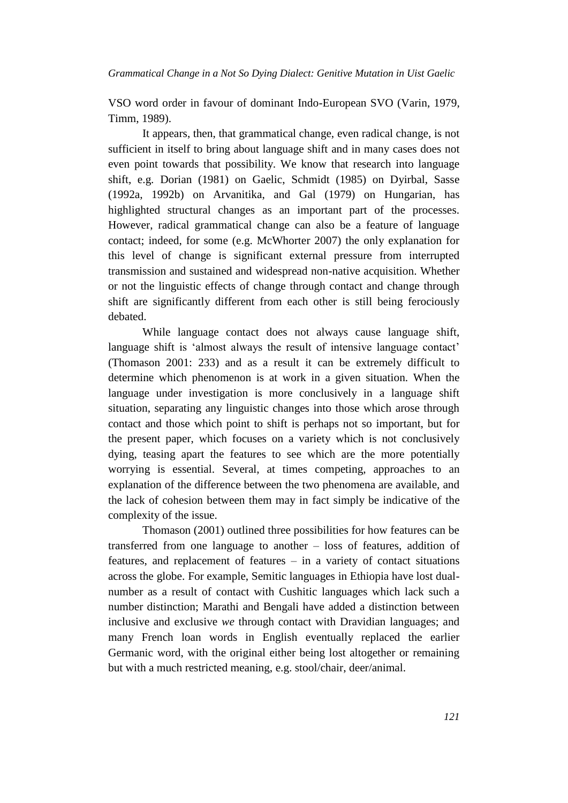VSO word order in favour of dominant Indo-European SVO (Varin, 1979, Timm, 1989).

It appears, then, that grammatical change, even radical change, is not sufficient in itself to bring about language shift and in many cases does not even point towards that possibility. We know that research into language shift, e.g. Dorian (1981) on Gaelic, Schmidt (1985) on Dyirbal, Sasse (1992a, 1992b) on Arvanitika, and Gal (1979) on Hungarian, has highlighted structural changes as an important part of the processes. However, radical grammatical change can also be a feature of language contact; indeed, for some (e.g. McWhorter 2007) the only explanation for this level of change is significant external pressure from interrupted transmission and sustained and widespread non-native acquisition. Whether or not the linguistic effects of change through contact and change through shift are significantly different from each other is still being ferociously debated.

While language contact does not always cause language shift, language shift is 'almost always the result of intensive language contact' (Thomason 2001: 233) and as a result it can be extremely difficult to determine which phenomenon is at work in a given situation. When the language under investigation is more conclusively in a language shift situation, separating any linguistic changes into those which arose through contact and those which point to shift is perhaps not so important, but for the present paper, which focuses on a variety which is not conclusively dying, teasing apart the features to see which are the more potentially worrying is essential. Several, at times competing, approaches to an explanation of the difference between the two phenomena are available, and the lack of cohesion between them may in fact simply be indicative of the complexity of the issue.

Thomason (2001) outlined three possibilities for how features can be transferred from one language to another – loss of features, addition of features, and replacement of features – in a variety of contact situations across the globe. For example, Semitic languages in Ethiopia have lost dualnumber as a result of contact with Cushitic languages which lack such a number distinction; Marathi and Bengali have added a distinction between inclusive and exclusive *we* through contact with Dravidian languages; and many French loan words in English eventually replaced the earlier Germanic word, with the original either being lost altogether or remaining but with a much restricted meaning, e.g. stool/chair, deer/animal.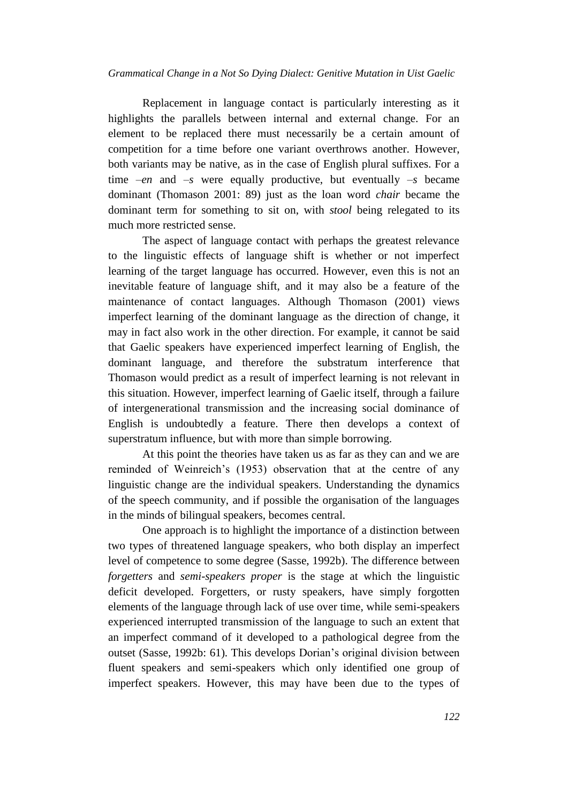Replacement in language contact is particularly interesting as it highlights the parallels between internal and external change. For an element to be replaced there must necessarily be a certain amount of competition for a time before one variant overthrows another. However, both variants may be native, as in the case of English plural suffixes. For a time *–en* and *–s* were equally productive, but eventually *–s* became dominant (Thomason 2001: 89) just as the loan word *chair* became the dominant term for something to sit on, with *stool* being relegated to its much more restricted sense.

The aspect of language contact with perhaps the greatest relevance to the linguistic effects of language shift is whether or not imperfect learning of the target language has occurred. However, even this is not an inevitable feature of language shift, and it may also be a feature of the maintenance of contact languages. Although Thomason (2001) views imperfect learning of the dominant language as the direction of change, it may in fact also work in the other direction. For example, it cannot be said that Gaelic speakers have experienced imperfect learning of English, the dominant language, and therefore the substratum interference that Thomason would predict as a result of imperfect learning is not relevant in this situation. However, imperfect learning of Gaelic itself, through a failure of intergenerational transmission and the increasing social dominance of English is undoubtedly a feature. There then develops a context of superstratum influence, but with more than simple borrowing.

At this point the theories have taken us as far as they can and we are reminded of Weinreich's (1953) observation that at the centre of any linguistic change are the individual speakers. Understanding the dynamics of the speech community, and if possible the organisation of the languages in the minds of bilingual speakers, becomes central.

One approach is to highlight the importance of a distinction between two types of threatened language speakers, who both display an imperfect level of competence to some degree (Sasse, 1992b). The difference between *forgetters* and *semi-speakers proper* is the stage at which the linguistic deficit developed. Forgetters, or rusty speakers, have simply forgotten elements of the language through lack of use over time, while semi-speakers experienced interrupted transmission of the language to such an extent that an imperfect command of it developed to a pathological degree from the outset (Sasse, 1992b: 61). This develops Dorian's original division between fluent speakers and semi-speakers which only identified one group of imperfect speakers. However, this may have been due to the types of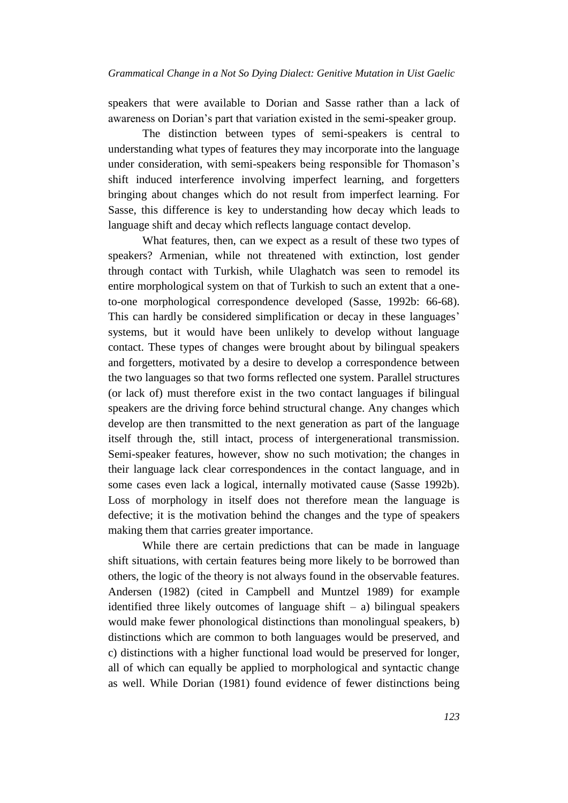speakers that were available to Dorian and Sasse rather than a lack of awareness on Dorian's part that variation existed in the semi-speaker group.

The distinction between types of semi-speakers is central to understanding what types of features they may incorporate into the language under consideration, with semi-speakers being responsible for Thomason's shift induced interference involving imperfect learning, and forgetters bringing about changes which do not result from imperfect learning. For Sasse, this difference is key to understanding how decay which leads to language shift and decay which reflects language contact develop.

What features, then, can we expect as a result of these two types of speakers? Armenian, while not threatened with extinction, lost gender through contact with Turkish, while Ulaghatch was seen to remodel its entire morphological system on that of Turkish to such an extent that a oneto-one morphological correspondence developed (Sasse, 1992b: 66-68). This can hardly be considered simplification or decay in these languages' systems, but it would have been unlikely to develop without language contact. These types of changes were brought about by bilingual speakers and forgetters, motivated by a desire to develop a correspondence between the two languages so that two forms reflected one system. Parallel structures (or lack of) must therefore exist in the two contact languages if bilingual speakers are the driving force behind structural change. Any changes which develop are then transmitted to the next generation as part of the language itself through the, still intact, process of intergenerational transmission. Semi-speaker features, however, show no such motivation; the changes in their language lack clear correspondences in the contact language, and in some cases even lack a logical, internally motivated cause (Sasse 1992b). Loss of morphology in itself does not therefore mean the language is defective; it is the motivation behind the changes and the type of speakers making them that carries greater importance.

While there are certain predictions that can be made in language shift situations, with certain features being more likely to be borrowed than others, the logic of the theory is not always found in the observable features. Andersen (1982) (cited in Campbell and Muntzel 1989) for example identified three likely outcomes of language shift  $-$  a) bilingual speakers would make fewer phonological distinctions than monolingual speakers, b) distinctions which are common to both languages would be preserved, and c) distinctions with a higher functional load would be preserved for longer, all of which can equally be applied to morphological and syntactic change as well. While Dorian (1981) found evidence of fewer distinctions being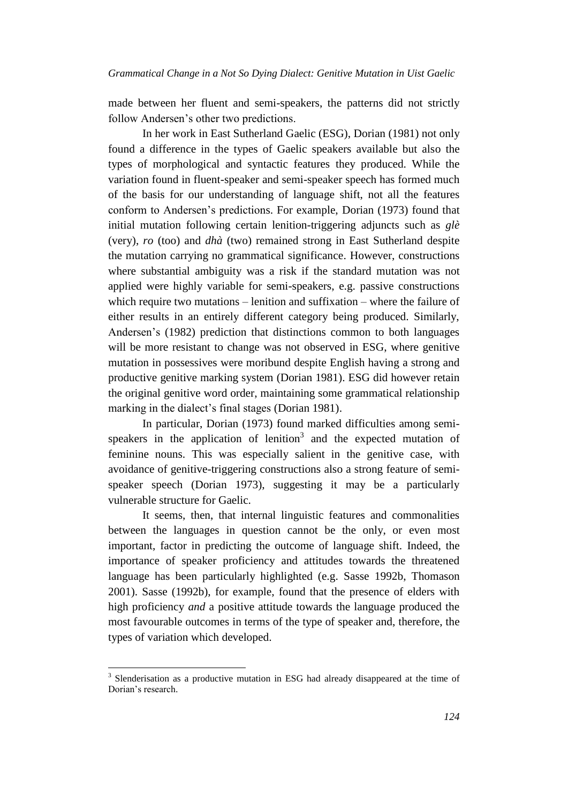made between her fluent and semi-speakers, the patterns did not strictly follow Andersen's other two predictions.

In her work in East Sutherland Gaelic (ESG), Dorian (1981) not only found a difference in the types of Gaelic speakers available but also the types of morphological and syntactic features they produced. While the variation found in fluent-speaker and semi-speaker speech has formed much of the basis for our understanding of language shift, not all the features conform to Andersen's predictions. For example, Dorian (1973) found that initial mutation following certain lenition-triggering adjuncts such as *glè* (very), *ro* (too) and *dhà* (two) remained strong in East Sutherland despite the mutation carrying no grammatical significance. However, constructions where substantial ambiguity was a risk if the standard mutation was not applied were highly variable for semi-speakers, e.g. passive constructions which require two mutations – lenition and suffixation – where the failure of either results in an entirely different category being produced. Similarly, Andersen's (1982) prediction that distinctions common to both languages will be more resistant to change was not observed in ESG, where genitive mutation in possessives were moribund despite English having a strong and productive genitive marking system (Dorian 1981). ESG did however retain the original genitive word order, maintaining some grammatical relationship marking in the dialect's final stages (Dorian 1981).

In particular, Dorian (1973) found marked difficulties among semispeakers in the application of lenition<sup>3</sup> and the expected mutation of feminine nouns. This was especially salient in the genitive case, with avoidance of genitive-triggering constructions also a strong feature of semispeaker speech (Dorian 1973), suggesting it may be a particularly vulnerable structure for Gaelic.

It seems, then, that internal linguistic features and commonalities between the languages in question cannot be the only, or even most important, factor in predicting the outcome of language shift. Indeed, the importance of speaker proficiency and attitudes towards the threatened language has been particularly highlighted (e.g. Sasse 1992b, Thomason 2001). Sasse (1992b), for example, found that the presence of elders with high proficiency *and* a positive attitude towards the language produced the most favourable outcomes in terms of the type of speaker and, therefore, the types of variation which developed.

l

<sup>&</sup>lt;sup>3</sup> Slenderisation as a productive mutation in ESG had already disappeared at the time of Dorian's research.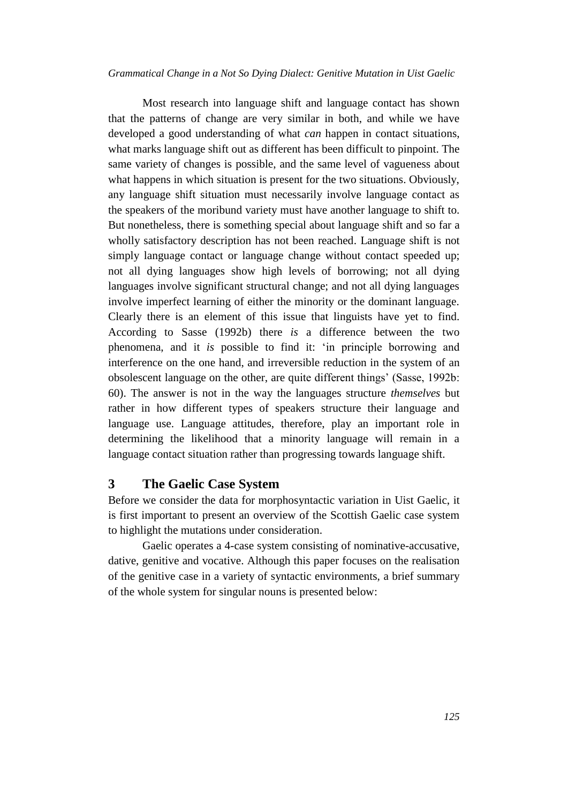Most research into language shift and language contact has shown that the patterns of change are very similar in both, and while we have developed a good understanding of what *can* happen in contact situations, what marks language shift out as different has been difficult to pinpoint. The same variety of changes is possible, and the same level of vagueness about what happens in which situation is present for the two situations. Obviously, any language shift situation must necessarily involve language contact as the speakers of the moribund variety must have another language to shift to. But nonetheless, there is something special about language shift and so far a wholly satisfactory description has not been reached. Language shift is not simply language contact or language change without contact speeded up; not all dying languages show high levels of borrowing; not all dying languages involve significant structural change; and not all dying languages involve imperfect learning of either the minority or the dominant language. Clearly there is an element of this issue that linguists have yet to find. According to Sasse (1992b) there *is* a difference between the two phenomena, and it *is* possible to find it: 'in principle borrowing and interference on the one hand, and irreversible reduction in the system of an obsolescent language on the other, are quite different things' (Sasse, 1992b: 60). The answer is not in the way the languages structure *themselves* but rather in how different types of speakers structure their language and language use. Language attitudes, therefore, play an important role in determining the likelihood that a minority language will remain in a language contact situation rather than progressing towards language shift.

#### **3 The Gaelic Case System**

Before we consider the data for morphosyntactic variation in Uist Gaelic, it is first important to present an overview of the Scottish Gaelic case system to highlight the mutations under consideration.

Gaelic operates a 4-case system consisting of nominative-accusative, dative, genitive and vocative. Although this paper focuses on the realisation of the genitive case in a variety of syntactic environments, a brief summary of the whole system for singular nouns is presented below: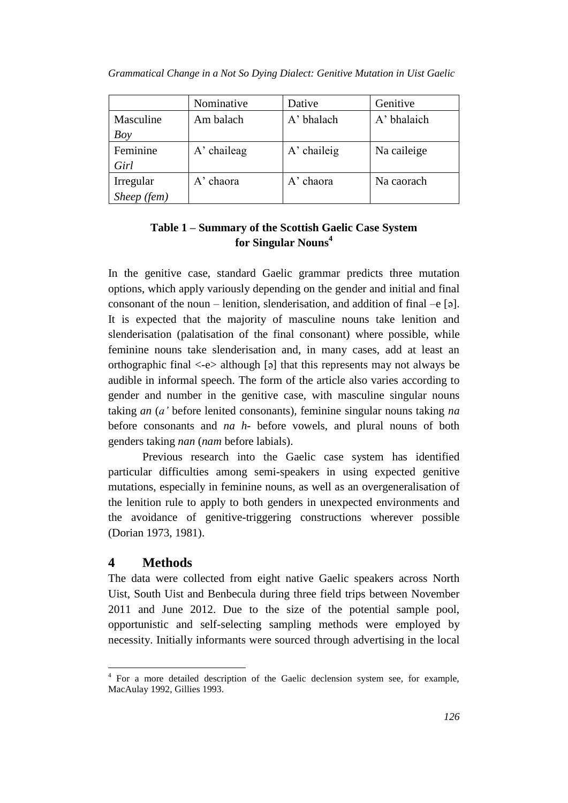|             | Nominative  | Dative        | Genitive    |
|-------------|-------------|---------------|-------------|
| Masculine   | Am balach   | A' bhalach    | A' bhalaich |
| Boy         |             |               |             |
| Feminine    | A' chaileag | $A'$ chaileig | Na caileige |
| Girl        |             |               |             |
| Irregular   | A' chaora   | A' chaora     | Na caorach  |
| Sheep (fem) |             |               |             |

*Grammatical Change in a Not So Dying Dialect: Genitive Mutation in Uist Gaelic*

# **Table 1 – Summary of the Scottish Gaelic Case System for Singular Nouns<sup>4</sup>**

In the genitive case, standard Gaelic grammar predicts three mutation options, which apply variously depending on the gender and initial and final consonant of the noun – lenition, slenderisation, and addition of final –e  $\lceil 9 \rceil$ . It is expected that the majority of masculine nouns take lenition and slenderisation (palatisation of the final consonant) where possible, while feminine nouns take slenderisation and, in many cases, add at least an orthographic final <-e> although [ə] that this represents may not always be audible in informal speech. The form of the article also varies according to gender and number in the genitive case, with masculine singular nouns taking *an* (*a'* before lenited consonants), feminine singular nouns taking *na* before consonants and *na h-* before vowels, and plural nouns of both genders taking *nan* (*nam* before labials).

Previous research into the Gaelic case system has identified particular difficulties among semi-speakers in using expected genitive mutations, especially in feminine nouns, as well as an overgeneralisation of the lenition rule to apply to both genders in unexpected environments and the avoidance of genitive-triggering constructions wherever possible (Dorian 1973, 1981).

### **4 Methods**

The data were collected from eight native Gaelic speakers across North Uist, South Uist and Benbecula during three field trips between November 2011 and June 2012. Due to the size of the potential sample pool, opportunistic and self-selecting sampling methods were employed by necessity. Initially informants were sourced through advertising in the local

 4 For a more detailed description of the Gaelic declension system see, for example, MacAulay 1992, Gillies 1993.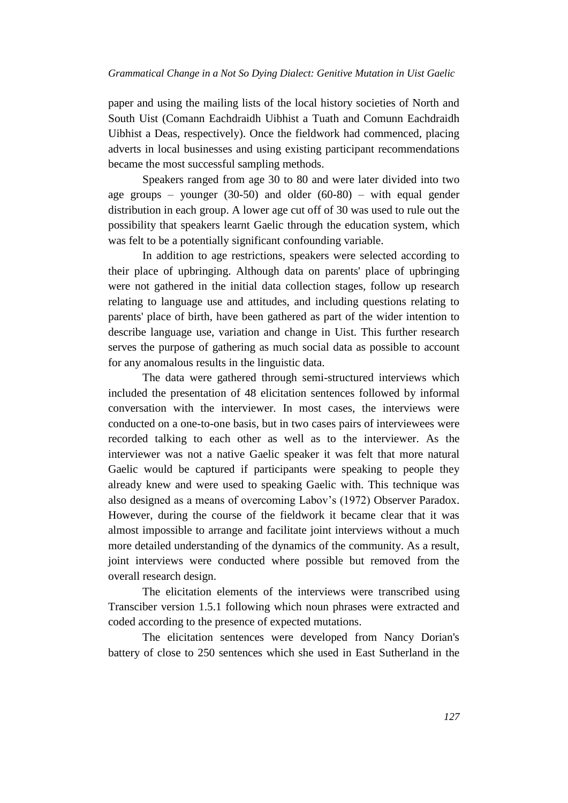paper and using the mailing lists of the local history societies of North and South Uist (Comann Eachdraidh Uibhist a Tuath and Comunn Eachdraidh Uibhist a Deas, respectively). Once the fieldwork had commenced, placing adverts in local businesses and using existing participant recommendations became the most successful sampling methods.

Speakers ranged from age 30 to 80 and were later divided into two age groups – younger  $(30-50)$  and older  $(60-80)$  – with equal gender distribution in each group. A lower age cut off of 30 was used to rule out the possibility that speakers learnt Gaelic through the education system, which was felt to be a potentially significant confounding variable.

In addition to age restrictions, speakers were selected according to their place of upbringing. Although data on parents' place of upbringing were not gathered in the initial data collection stages, follow up research relating to language use and attitudes, and including questions relating to parents' place of birth, have been gathered as part of the wider intention to describe language use, variation and change in Uist. This further research serves the purpose of gathering as much social data as possible to account for any anomalous results in the linguistic data.

The data were gathered through semi-structured interviews which included the presentation of 48 elicitation sentences followed by informal conversation with the interviewer. In most cases, the interviews were conducted on a one-to-one basis, but in two cases pairs of interviewees were recorded talking to each other as well as to the interviewer. As the interviewer was not a native Gaelic speaker it was felt that more natural Gaelic would be captured if participants were speaking to people they already knew and were used to speaking Gaelic with. This technique was also designed as a means of overcoming Labov's (1972) Observer Paradox. However, during the course of the fieldwork it became clear that it was almost impossible to arrange and facilitate joint interviews without a much more detailed understanding of the dynamics of the community. As a result, joint interviews were conducted where possible but removed from the overall research design.

The elicitation elements of the interviews were transcribed using Transciber version 1.5.1 following which noun phrases were extracted and coded according to the presence of expected mutations.

The elicitation sentences were developed from Nancy Dorian's battery of close to 250 sentences which she used in East Sutherland in the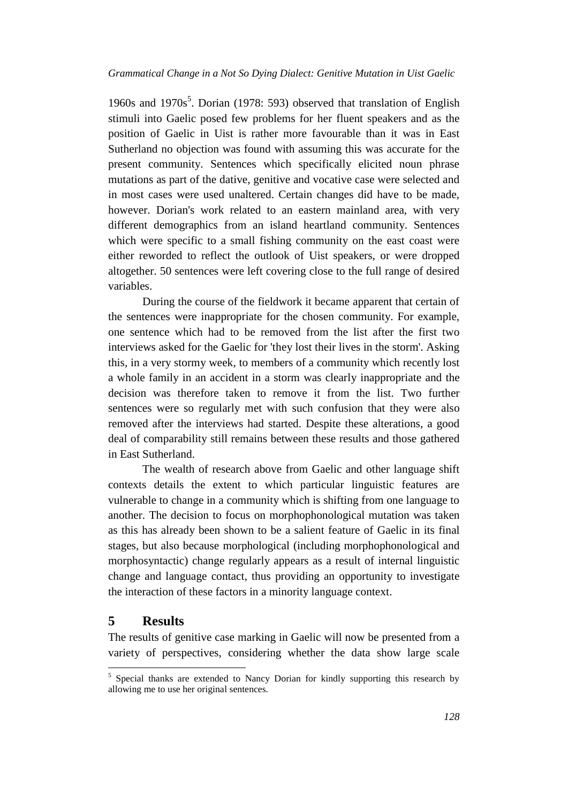1960s and  $1970s^5$ . Dorian (1978: 593) observed that translation of English stimuli into Gaelic posed few problems for her fluent speakers and as the position of Gaelic in Uist is rather more favourable than it was in East Sutherland no objection was found with assuming this was accurate for the present community. Sentences which specifically elicited noun phrase mutations as part of the dative, genitive and vocative case were selected and in most cases were used unaltered. Certain changes did have to be made, however. Dorian's work related to an eastern mainland area, with very different demographics from an island heartland community. Sentences which were specific to a small fishing community on the east coast were either reworded to reflect the outlook of Uist speakers, or were dropped altogether. 50 sentences were left covering close to the full range of desired variables.

During the course of the fieldwork it became apparent that certain of the sentences were inappropriate for the chosen community. For example, one sentence which had to be removed from the list after the first two interviews asked for the Gaelic for 'they lost their lives in the storm'. Asking this, in a very stormy week, to members of a community which recently lost a whole family in an accident in a storm was clearly inappropriate and the decision was therefore taken to remove it from the list. Two further sentences were so regularly met with such confusion that they were also removed after the interviews had started. Despite these alterations, a good deal of comparability still remains between these results and those gathered in East Sutherland.

The wealth of research above from Gaelic and other language shift contexts details the extent to which particular linguistic features are vulnerable to change in a community which is shifting from one language to another. The decision to focus on morphophonological mutation was taken as this has already been shown to be a salient feature of Gaelic in its final stages, but also because morphological (including morphophonological and morphosyntactic) change regularly appears as a result of internal linguistic change and language contact, thus providing an opportunity to investigate the interaction of these factors in a minority language context.

# **5 Results**

l

The results of genitive case marking in Gaelic will now be presented from a variety of perspectives, considering whether the data show large scale

<sup>&</sup>lt;sup>5</sup> Special thanks are extended to Nancy Dorian for kindly supporting this research by allowing me to use her original sentences.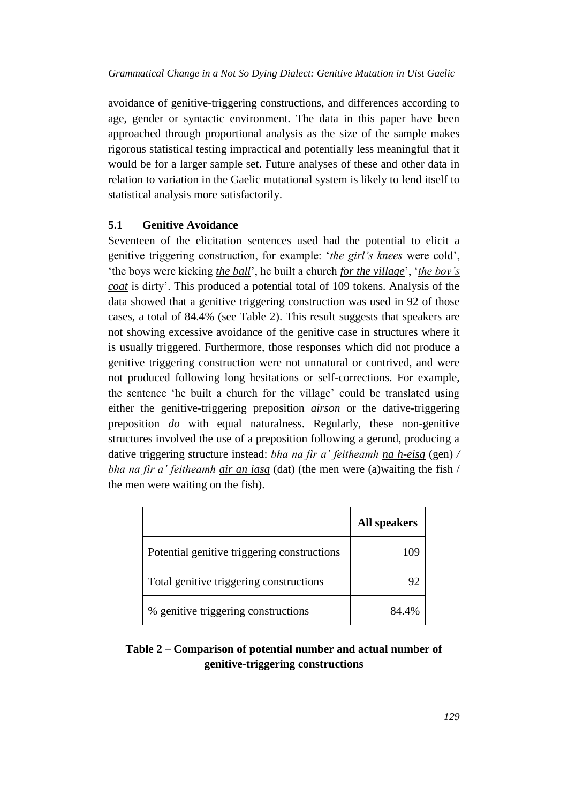avoidance of genitive-triggering constructions, and differences according to age, gender or syntactic environment. The data in this paper have been approached through proportional analysis as the size of the sample makes rigorous statistical testing impractical and potentially less meaningful that it would be for a larger sample set. Future analyses of these and other data in relation to variation in the Gaelic mutational system is likely to lend itself to statistical analysis more satisfactorily.

#### **5.1 Genitive Avoidance**

Seventeen of the elicitation sentences used had the potential to elicit a genitive triggering construction, for example: '*the girl's knees* were cold', 'the boys were kicking *the ball*', he built a church *for the village*', '*the boy's coat* is dirty'. This produced a potential total of 109 tokens. Analysis of the data showed that a genitive triggering construction was used in 92 of those cases, a total of 84.4% (see Table 2). This result suggests that speakers are not showing excessive avoidance of the genitive case in structures where it is usually triggered. Furthermore, those responses which did not produce a genitive triggering construction were not unnatural or contrived, and were not produced following long hesitations or self-corrections. For example, the sentence 'he built a church for the village' could be translated using either the genitive-triggering preposition *airson* or the dative-triggering preposition *do* with equal naturalness. Regularly, these non-genitive structures involved the use of a preposition following a gerund, producing a dative triggering structure instead: *bha na fir a' feitheamh na h-eisg* (gen) */ bha na fir a' feitheamh air an iasg* (dat) (the men were (a)waiting the fish / the men were waiting on the fish).

|                                             | <b>All speakers</b> |
|---------------------------------------------|---------------------|
| Potential genitive triggering constructions |                     |
| Total genitive triggering constructions     |                     |
| % genitive triggering constructions         | 84.4%               |

# **Table 2 – Comparison of potential number and actual number of genitive-triggering constructions**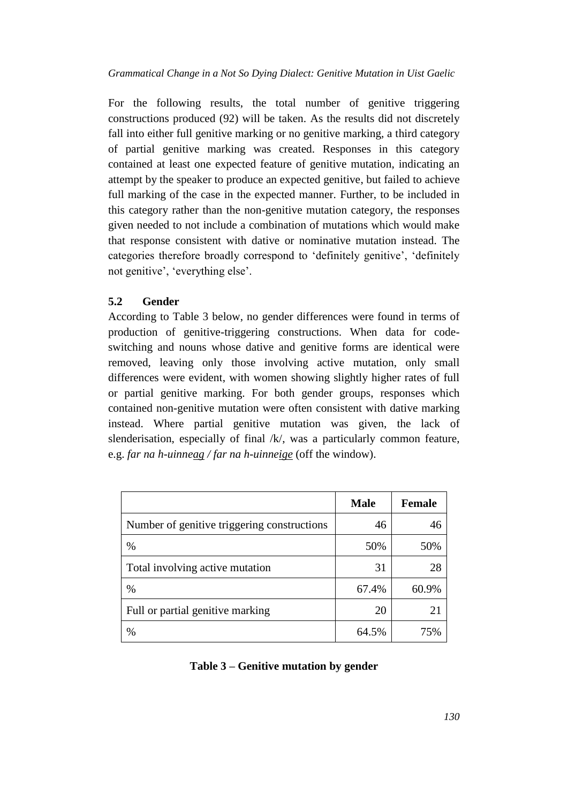For the following results, the total number of genitive triggering constructions produced (92) will be taken. As the results did not discretely fall into either full genitive marking or no genitive marking, a third category of partial genitive marking was created. Responses in this category contained at least one expected feature of genitive mutation, indicating an attempt by the speaker to produce an expected genitive, but failed to achieve full marking of the case in the expected manner. Further, to be included in this category rather than the non-genitive mutation category, the responses given needed to not include a combination of mutations which would make that response consistent with dative or nominative mutation instead. The categories therefore broadly correspond to 'definitely genitive', 'definitely not genitive', 'everything else'.

### **5.2 Gender**

According to Table 3 below, no gender differences were found in terms of production of genitive-triggering constructions. When data for codeswitching and nouns whose dative and genitive forms are identical were removed, leaving only those involving active mutation, only small differences were evident, with women showing slightly higher rates of full or partial genitive marking. For both gender groups, responses which contained non-genitive mutation were often consistent with dative marking instead. Where partial genitive mutation was given, the lack of slenderisation, especially of final /k/, was a particularly common feature, e.g. *far na h-uinneag / far na h-uinneige* (off the window).

|                                             | <b>Male</b> | <b>Female</b> |
|---------------------------------------------|-------------|---------------|
| Number of genitive triggering constructions | 46          | 46            |
| $\%$                                        | 50%         | 50%           |
| Total involving active mutation             | 31          | 28            |
| $\%$                                        | 67.4%       | 60.9%         |
| Full or partial genitive marking            | 20          | 21            |
| $\%$                                        | 64.5%       | 75%           |

### **Table 3 – Genitive mutation by gender**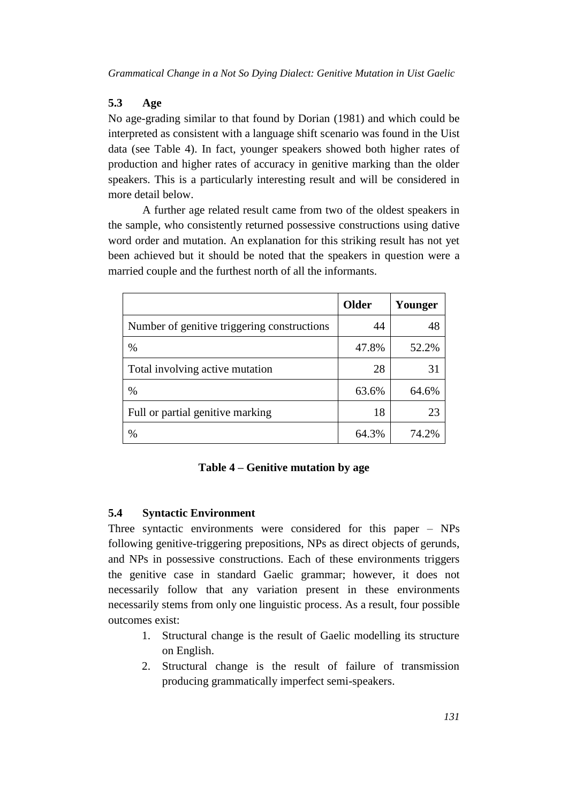# **5.3 Age**

No age-grading similar to that found by Dorian (1981) and which could be interpreted as consistent with a language shift scenario was found in the Uist data (see Table 4). In fact, younger speakers showed both higher rates of production and higher rates of accuracy in genitive marking than the older speakers. This is a particularly interesting result and will be considered in more detail below.

A further age related result came from two of the oldest speakers in the sample, who consistently returned possessive constructions using dative word order and mutation. An explanation for this striking result has not yet been achieved but it should be noted that the speakers in question were a married couple and the furthest north of all the informants.

|                                             | <b>Older</b> | Younger |
|---------------------------------------------|--------------|---------|
| Number of genitive triggering constructions | 44           | 48      |
| $\%$                                        | 47.8%        | 52.2%   |
| Total involving active mutation             | 28           | 31      |
| $\%$                                        | 63.6%        | 64.6%   |
| Full or partial genitive marking            | 18           | 23      |
| %                                           | 64.3%        | 74.2%   |

# **Table 4 – Genitive mutation by age**

# **5.4 Syntactic Environment**

Three syntactic environments were considered for this paper – NPs following genitive-triggering prepositions, NPs as direct objects of gerunds, and NPs in possessive constructions. Each of these environments triggers the genitive case in standard Gaelic grammar; however, it does not necessarily follow that any variation present in these environments necessarily stems from only one linguistic process. As a result, four possible outcomes exist:

- 1. Structural change is the result of Gaelic modelling its structure on English.
- 2. Structural change is the result of failure of transmission producing grammatically imperfect semi-speakers.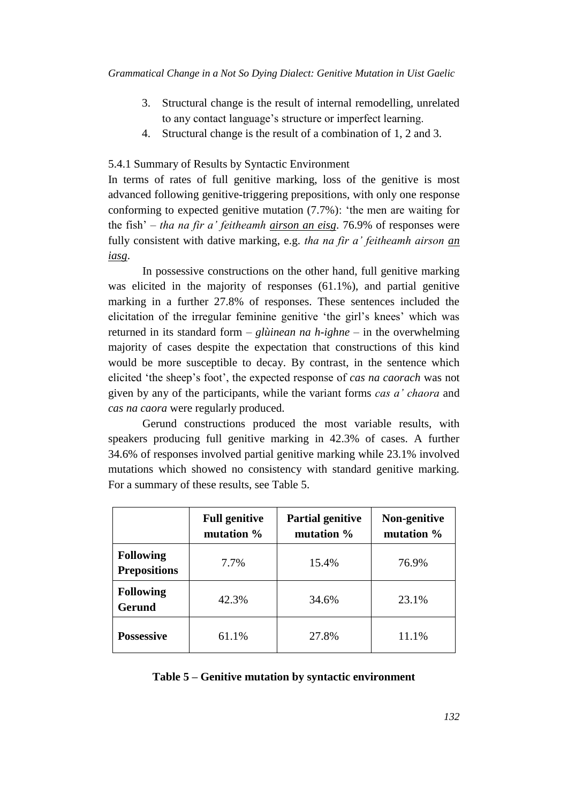- 3. Structural change is the result of internal remodelling, unrelated to any contact language's structure or imperfect learning.
- 4. Structural change is the result of a combination of 1, 2 and 3.

#### 5.4.1 Summary of Results by Syntactic Environment

In terms of rates of full genitive marking, loss of the genitive is most advanced following genitive-triggering prepositions, with only one response conforming to expected genitive mutation (7.7%): 'the men are waiting for the fish' – *tha na fir a' feitheamh airson an eisg*. 76.9% of responses were fully consistent with dative marking, e.g. *tha na fir a' feitheamh airson an iasg*.

In possessive constructions on the other hand, full genitive marking was elicited in the majority of responses (61.1%), and partial genitive marking in a further 27.8% of responses. These sentences included the elicitation of the irregular feminine genitive 'the girl's knees' which was returned in its standard form – *glùinean na h-ighne* – in the overwhelming majority of cases despite the expectation that constructions of this kind would be more susceptible to decay. By contrast, in the sentence which elicited 'the sheep's foot', the expected response of *cas na caorach* was not given by any of the participants, while the variant forms *cas a' chaora* and *cas na caora* were regularly produced.

Gerund constructions produced the most variable results, with speakers producing full genitive marking in 42.3% of cases. A further 34.6% of responses involved partial genitive marking while 23.1% involved mutations which showed no consistency with standard genitive marking. For a summary of these results, see Table 5.

|                                         | <b>Full genitive</b><br>mutation % | <b>Partial genitive</b><br>mutation % | Non-genitive<br>mutation % |
|-----------------------------------------|------------------------------------|---------------------------------------|----------------------------|
| <b>Following</b><br><b>Prepositions</b> | 7.7%                               | 15.4%                                 | 76.9%                      |
| <b>Following</b><br><b>Gerund</b>       | 42.3%                              | 34.6%                                 | 23.1%                      |
| <b>Possessive</b>                       | 61.1%                              | 27.8%                                 | 11.1%                      |

#### **Table 5 – Genitive mutation by syntactic environment**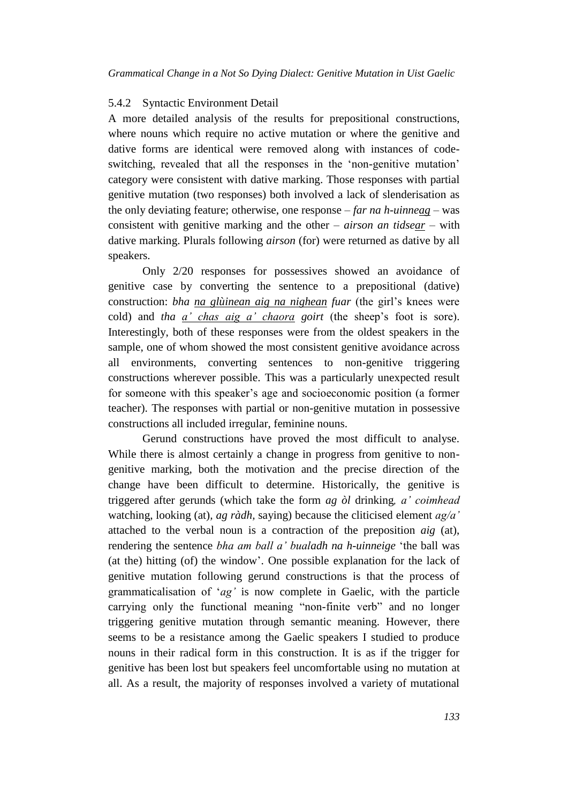#### 5.4.2 Syntactic Environment Detail

A more detailed analysis of the results for prepositional constructions, where nouns which require no active mutation or where the genitive and dative forms are identical were removed along with instances of codeswitching, revealed that all the responses in the 'non-genitive mutation' category were consistent with dative marking. Those responses with partial genitive mutation (two responses) both involved a lack of slenderisation as the only deviating feature; otherwise, one response – *far na h-uinneag* – was consistent with genitive marking and the other – *airson an tidsear* – with dative marking. Plurals following *airson* (for) were returned as dative by all speakers.

Only 2/20 responses for possessives showed an avoidance of genitive case by converting the sentence to a prepositional (dative) construction: *bha na glùinean aig na nighean fuar* (the girl's knees were cold) and *tha a' chas aig a' chaora goirt* (the sheep's foot is sore). Interestingly, both of these responses were from the oldest speakers in the sample, one of whom showed the most consistent genitive avoidance across all environments, converting sentences to non-genitive triggering constructions wherever possible. This was a particularly unexpected result for someone with this speaker's age and socioeconomic position (a former teacher). The responses with partial or non-genitive mutation in possessive constructions all included irregular, feminine nouns.

Gerund constructions have proved the most difficult to analyse. While there is almost certainly a change in progress from genitive to nongenitive marking, both the motivation and the precise direction of the change have been difficult to determine. Historically, the genitive is triggered after gerunds (which take the form *ag òl* drinking*, a' coimhead* watching, looking (at)*, ag ràdh,* saying) because the cliticised element *ag/a'* attached to the verbal noun is a contraction of the preposition *aig* (at), rendering the sentence *bha am ball a' bualadh na h-uinneige* 'the ball was (at the) hitting (of) the window'. One possible explanation for the lack of genitive mutation following gerund constructions is that the process of grammaticalisation of '*ag'* is now complete in Gaelic, with the particle carrying only the functional meaning "non-finite verb" and no longer triggering genitive mutation through semantic meaning. However, there seems to be a resistance among the Gaelic speakers I studied to produce nouns in their radical form in this construction. It is as if the trigger for genitive has been lost but speakers feel uncomfortable using no mutation at all. As a result, the majority of responses involved a variety of mutational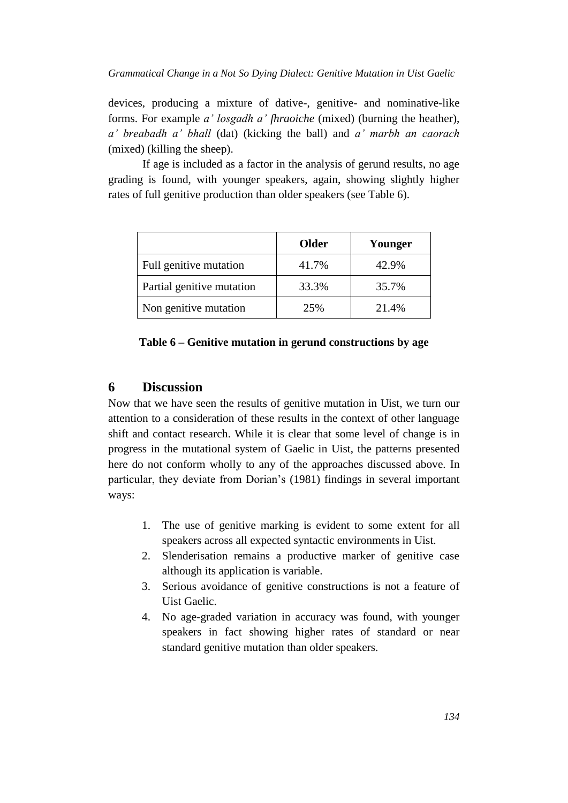devices, producing a mixture of dative-, genitive- and nominative-like forms. For example *a' losgadh a' fhraoiche* (mixed) (burning the heather), *a' breabadh a' bhall* (dat) (kicking the ball) and *a' marbh an caorach* (mixed) (killing the sheep).

If age is included as a factor in the analysis of gerund results, no age grading is found, with younger speakers, again, showing slightly higher rates of full genitive production than older speakers (see Table 6).

|                           | <b>Older</b> | Younger |
|---------------------------|--------------|---------|
| Full genitive mutation    | 41.7%        | 42.9%   |
| Partial genitive mutation | 33.3%        | 35.7%   |
| Non genitive mutation     | 25%          | 21.4%   |

#### **Table 6 – Genitive mutation in gerund constructions by age**

### **6 Discussion**

Now that we have seen the results of genitive mutation in Uist, we turn our attention to a consideration of these results in the context of other language shift and contact research. While it is clear that some level of change is in progress in the mutational system of Gaelic in Uist, the patterns presented here do not conform wholly to any of the approaches discussed above. In particular, they deviate from Dorian's (1981) findings in several important ways:

- 1. The use of genitive marking is evident to some extent for all speakers across all expected syntactic environments in Uist.
- 2. Slenderisation remains a productive marker of genitive case although its application is variable.
- 3. Serious avoidance of genitive constructions is not a feature of Uist Gaelic.
- 4. No age-graded variation in accuracy was found, with younger speakers in fact showing higher rates of standard or near standard genitive mutation than older speakers.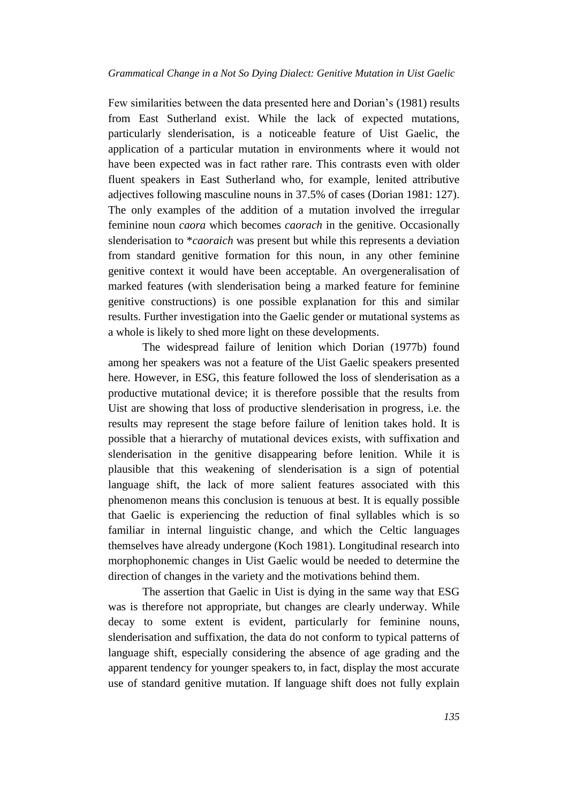Few similarities between the data presented here and Dorian's (1981) results from East Sutherland exist. While the lack of expected mutations, particularly slenderisation, is a noticeable feature of Uist Gaelic, the application of a particular mutation in environments where it would not have been expected was in fact rather rare. This contrasts even with older fluent speakers in East Sutherland who, for example, lenited attributive adjectives following masculine nouns in 37.5% of cases (Dorian 1981: 127). The only examples of the addition of a mutation involved the irregular feminine noun *caora* which becomes *caorach* in the genitive. Occasionally slenderisation to \**caoraich* was present but while this represents a deviation from standard genitive formation for this noun, in any other feminine genitive context it would have been acceptable. An overgeneralisation of marked features (with slenderisation being a marked feature for feminine genitive constructions) is one possible explanation for this and similar results. Further investigation into the Gaelic gender or mutational systems as a whole is likely to shed more light on these developments.

The widespread failure of lenition which Dorian (1977b) found among her speakers was not a feature of the Uist Gaelic speakers presented here. However, in ESG, this feature followed the loss of slenderisation as a productive mutational device; it is therefore possible that the results from Uist are showing that loss of productive slenderisation in progress, i.e. the results may represent the stage before failure of lenition takes hold. It is possible that a hierarchy of mutational devices exists, with suffixation and slenderisation in the genitive disappearing before lenition. While it is plausible that this weakening of slenderisation is a sign of potential language shift, the lack of more salient features associated with this phenomenon means this conclusion is tenuous at best. It is equally possible that Gaelic is experiencing the reduction of final syllables which is so familiar in internal linguistic change, and which the Celtic languages themselves have already undergone (Koch 1981). Longitudinal research into morphophonemic changes in Uist Gaelic would be needed to determine the direction of changes in the variety and the motivations behind them.

The assertion that Gaelic in Uist is dying in the same way that ESG was is therefore not appropriate, but changes are clearly underway. While decay to some extent is evident, particularly for feminine nouns, slenderisation and suffixation, the data do not conform to typical patterns of language shift, especially considering the absence of age grading and the apparent tendency for younger speakers to, in fact, display the most accurate use of standard genitive mutation. If language shift does not fully explain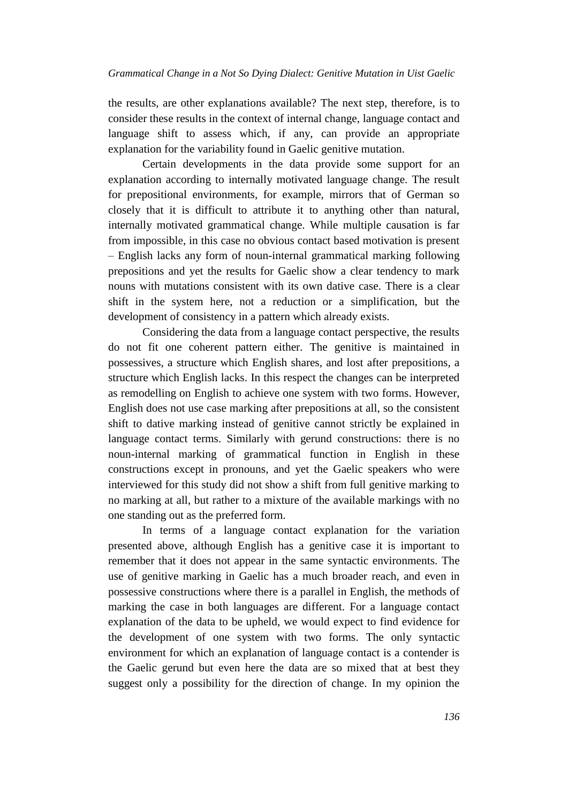the results, are other explanations available? The next step, therefore, is to consider these results in the context of internal change, language contact and language shift to assess which, if any, can provide an appropriate explanation for the variability found in Gaelic genitive mutation.

Certain developments in the data provide some support for an explanation according to internally motivated language change. The result for prepositional environments, for example, mirrors that of German so closely that it is difficult to attribute it to anything other than natural, internally motivated grammatical change. While multiple causation is far from impossible, in this case no obvious contact based motivation is present – English lacks any form of noun-internal grammatical marking following prepositions and yet the results for Gaelic show a clear tendency to mark nouns with mutations consistent with its own dative case. There is a clear shift in the system here, not a reduction or a simplification, but the development of consistency in a pattern which already exists.

Considering the data from a language contact perspective, the results do not fit one coherent pattern either. The genitive is maintained in possessives, a structure which English shares, and lost after prepositions, a structure which English lacks. In this respect the changes can be interpreted as remodelling on English to achieve one system with two forms. However, English does not use case marking after prepositions at all, so the consistent shift to dative marking instead of genitive cannot strictly be explained in language contact terms. Similarly with gerund constructions: there is no noun-internal marking of grammatical function in English in these constructions except in pronouns, and yet the Gaelic speakers who were interviewed for this study did not show a shift from full genitive marking to no marking at all, but rather to a mixture of the available markings with no one standing out as the preferred form.

In terms of a language contact explanation for the variation presented above, although English has a genitive case it is important to remember that it does not appear in the same syntactic environments. The use of genitive marking in Gaelic has a much broader reach, and even in possessive constructions where there is a parallel in English, the methods of marking the case in both languages are different. For a language contact explanation of the data to be upheld, we would expect to find evidence for the development of one system with two forms. The only syntactic environment for which an explanation of language contact is a contender is the Gaelic gerund but even here the data are so mixed that at best they suggest only a possibility for the direction of change. In my opinion the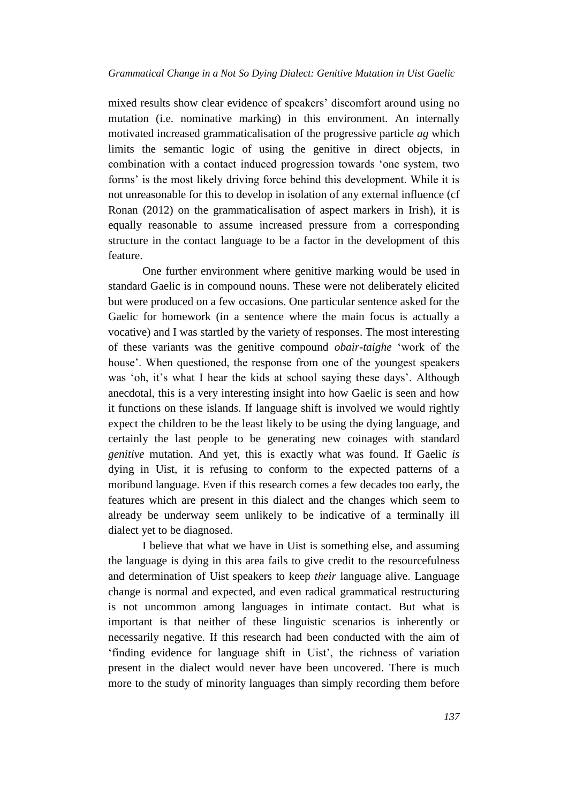mixed results show clear evidence of speakers' discomfort around using no mutation (i.e. nominative marking) in this environment. An internally motivated increased grammaticalisation of the progressive particle *ag* which limits the semantic logic of using the genitive in direct objects, in combination with a contact induced progression towards 'one system, two forms' is the most likely driving force behind this development. While it is not unreasonable for this to develop in isolation of any external influence (cf Ronan (2012) on the grammaticalisation of aspect markers in Irish), it is equally reasonable to assume increased pressure from a corresponding structure in the contact language to be a factor in the development of this feature.

One further environment where genitive marking would be used in standard Gaelic is in compound nouns. These were not deliberately elicited but were produced on a few occasions. One particular sentence asked for the Gaelic for homework (in a sentence where the main focus is actually a vocative) and I was startled by the variety of responses. The most interesting of these variants was the genitive compound *obair-taighe* 'work of the house'. When questioned, the response from one of the youngest speakers was 'oh, it's what I hear the kids at school saying these days'. Although anecdotal, this is a very interesting insight into how Gaelic is seen and how it functions on these islands. If language shift is involved we would rightly expect the children to be the least likely to be using the dying language, and certainly the last people to be generating new coinages with standard *genitive* mutation. And yet, this is exactly what was found. If Gaelic *is* dying in Uist, it is refusing to conform to the expected patterns of a moribund language. Even if this research comes a few decades too early, the features which are present in this dialect and the changes which seem to already be underway seem unlikely to be indicative of a terminally ill dialect yet to be diagnosed.

I believe that what we have in Uist is something else, and assuming the language is dying in this area fails to give credit to the resourcefulness and determination of Uist speakers to keep *their* language alive. Language change is normal and expected, and even radical grammatical restructuring is not uncommon among languages in intimate contact. But what is important is that neither of these linguistic scenarios is inherently or necessarily negative. If this research had been conducted with the aim of 'finding evidence for language shift in Uist', the richness of variation present in the dialect would never have been uncovered. There is much more to the study of minority languages than simply recording them before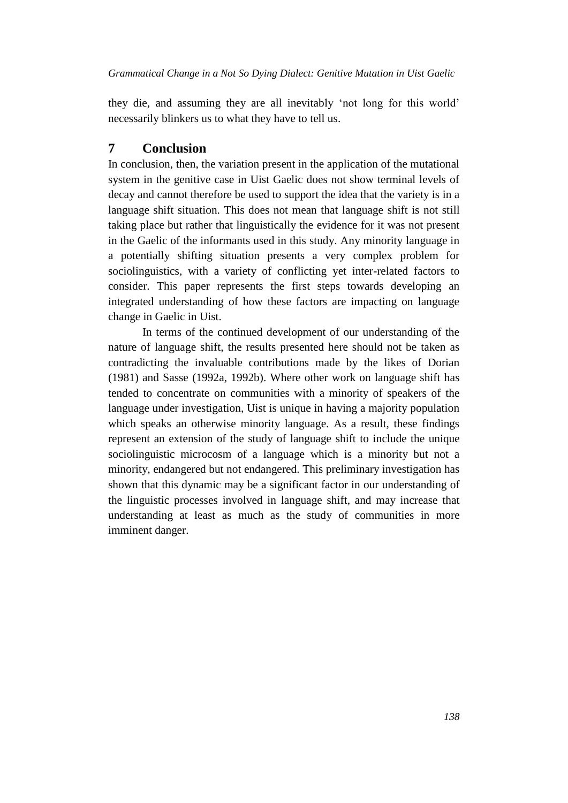they die, and assuming they are all inevitably 'not long for this world' necessarily blinkers us to what they have to tell us.

# **7 Conclusion**

In conclusion, then, the variation present in the application of the mutational system in the genitive case in Uist Gaelic does not show terminal levels of decay and cannot therefore be used to support the idea that the variety is in a language shift situation. This does not mean that language shift is not still taking place but rather that linguistically the evidence for it was not present in the Gaelic of the informants used in this study. Any minority language in a potentially shifting situation presents a very complex problem for sociolinguistics, with a variety of conflicting yet inter-related factors to consider. This paper represents the first steps towards developing an integrated understanding of how these factors are impacting on language change in Gaelic in Uist.

In terms of the continued development of our understanding of the nature of language shift, the results presented here should not be taken as contradicting the invaluable contributions made by the likes of Dorian (1981) and Sasse (1992a, 1992b). Where other work on language shift has tended to concentrate on communities with a minority of speakers of the language under investigation, Uist is unique in having a majority population which speaks an otherwise minority language. As a result, these findings represent an extension of the study of language shift to include the unique sociolinguistic microcosm of a language which is a minority but not a minority, endangered but not endangered. This preliminary investigation has shown that this dynamic may be a significant factor in our understanding of the linguistic processes involved in language shift, and may increase that understanding at least as much as the study of communities in more imminent danger.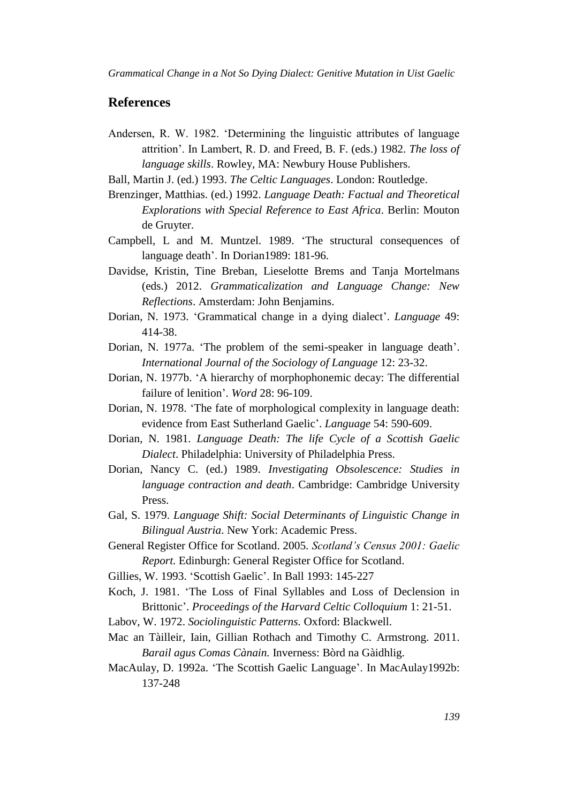# **References**

- Andersen, R. W. 1982. 'Determining the linguistic attributes of language attrition'. In Lambert, R. D. and Freed, B. F. (eds.) 1982. *The loss of language skills*. Rowley, MA: Newbury House Publishers.
- Ball, Martin J. (ed.) 1993. *The Celtic Languages*. London: Routledge.
- Brenzinger, Matthias. (ed.) 1992. *Language Death: Factual and Theoretical Explorations with Special Reference to East Africa*. Berlin: Mouton de Gruyter.
- Campbell, L and M. Muntzel. 1989. 'The structural consequences of language death'. In Dorian1989: 181-96.
- Davidse, Kristin, Tine Breban, Lieselotte Brems and Tanja Mortelmans (eds.) 2012. *Grammaticalization and Language Change: New Reflections*. Amsterdam: John Benjamins.
- Dorian, N. 1973. 'Grammatical change in a dying dialect'. *Language* 49: 414-38.
- Dorian, N. 1977a. 'The problem of the semi-speaker in language death'. *International Journal of the Sociology of Language* 12: 23-32.
- Dorian, N. 1977b. 'A hierarchy of morphophonemic decay: The differential failure of lenition'. *Word* 28: 96-109.
- Dorian, N. 1978. 'The fate of morphological complexity in language death: evidence from East Sutherland Gaelic'. *Language* 54: 590-609.
- Dorian, N. 1981. *Language Death: The life Cycle of a Scottish Gaelic Dialect*. Philadelphia: University of Philadelphia Press.
- Dorian, Nancy C. (ed.) 1989. *Investigating Obsolescence: Studies in language contraction and death*. Cambridge: Cambridge University Press.
- Gal, S. 1979. *Language Shift: Social Determinants of Linguistic Change in Bilingual Austria*. New York: Academic Press.
- General Register Office for Scotland. 2005. *Scotland's Census 2001: Gaelic Report.* Edinburgh: General Register Office for Scotland.
- Gillies, W. 1993. 'Scottish Gaelic'. In Ball 1993: 145-227
- Koch, J. 1981. 'The Loss of Final Syllables and Loss of Declension in Brittonic'. *Proceedings of the Harvard Celtic Colloquium* 1: 21-51.
- Labov, W. 1972. *Sociolinguistic Patterns.* Oxford: Blackwell.
- Mac an Tàilleir, Iain, Gillian Rothach and Timothy C. Armstrong. 2011. *Barail agus Comas Cànain.* Inverness: Bòrd na Gàidhlig.
- MacAulay, D. 1992a. 'The Scottish Gaelic Language'. In MacAulay1992b: 137-248